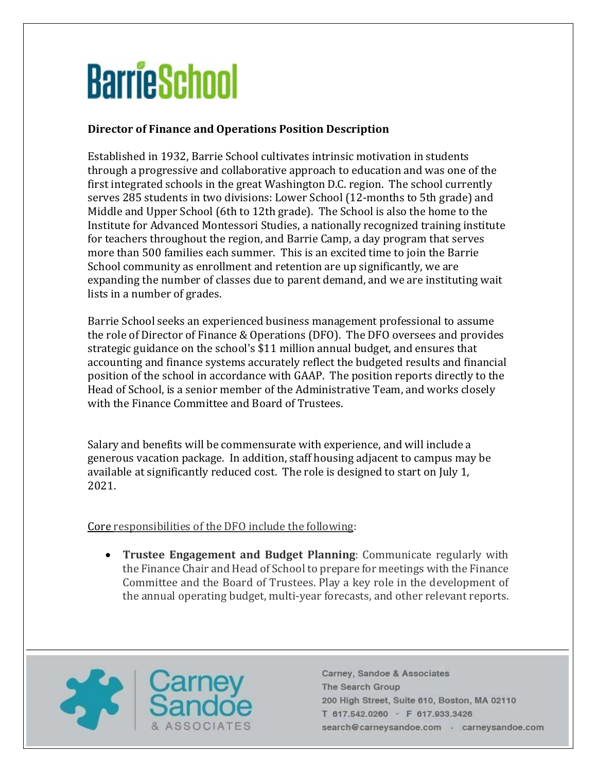## **BarrieSchool**

## **Director of Finance and Operations Position Description**

Established in 1932, Barrie School cultivates intrinsic motivation in students through a progressive and collaborative approach to education and was one of the first integrated schools in the great Washington D.C. region. The school currently serves 285 students in two divisions: Lower School (12-months to 5th grade) and Middle and Upper School (6th to 12th grade). The School is also the home to the Institute for Advanced Montessori Studies, a nationally recognized training institute for teachers throughout the region, and Barrie Camp, a day program that serves more than 500 families each summer. This is an excited time to join the Barrie School community as enrollment and retention are up significantly, we are expanding the number of classes due to parent demand, and we are instituting wait lists in a number of grades.

Barrie School seeks an experienced business management professional to assume the role of Director of Finance & Operations (DFO). The DFO oversees and provides strategic guidance on the school's \$11 million annual budget, and ensures that accounting and finance systems accurately reflect the budgeted results and financial position of the school in accordance with GAAP. The position reports directly to the Head of School, is a senior member of the Administrative Team, and works closely with the Finance Committee and Board of Trustees.

Salary and benefits will be commensurate with experience, and will include a generous vacation package. In addition, staff housing adjacent to campus may be available at significantly reduced cost. The role is designed to start on July 1, 2021.

Core responsibilities of the DFO include the following:

• **Trustee Engagement and Budget Planning**: Communicate regularly with the Finance Chair and Head of School to prepare for meetings with the Finance Committee and the Board of Trustees. Play a key role in the development of the annual operating budget, multi-year forecasts, and other relevant reports.

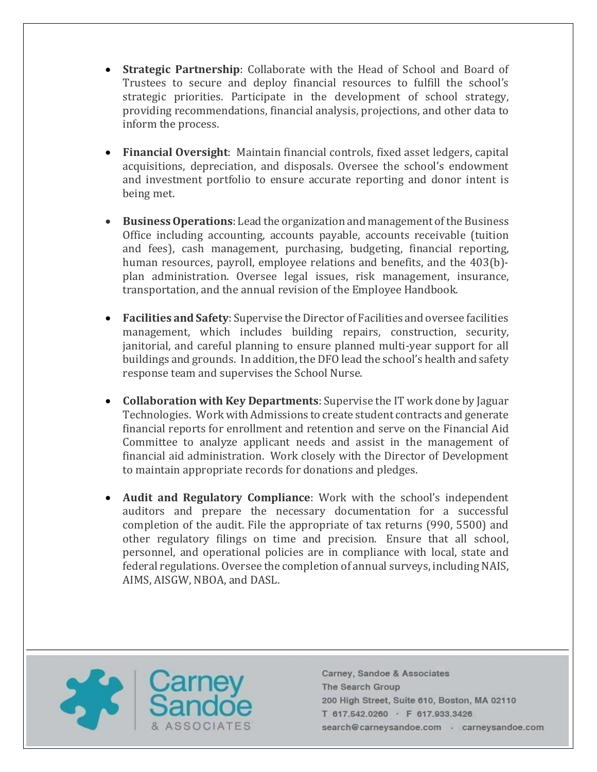- **Strategic Partnership**: Collaborate with the Head of School and Board of Trustees to secure and deploy financial resources to fulfill the school's strategic priorities. Participate in the development of school strategy, providing recommendations, financial analysis, projections, and other data to inform the process.
- **Financial Oversight**: Maintain financial controls, fixed asset ledgers, capital acquisitions, depreciation, and disposals. Oversee the school's endowment and investment portfolio to ensure accurate reporting and donor intent is being met.
- **Business Operations**: Lead the organization and management of the Business Office including accounting, accounts payable, accounts receivable (tuition and fees), cash management, purchasing, budgeting, financial reporting, human resources, payroll, employee relations and benefits, and the 403(b) plan administration. Oversee legal issues, risk management, insurance, transportation, and the annual revision of the Employee Handbook.
- **Facilities and Safety**: Supervise the Director of Facilities and oversee facilities management, which includes building repairs, construction, security, janitorial, and careful planning to ensure planned multi-year support for all buildings and grounds. In addition, the DFO lead the school's health and safety response team and supervises the School Nurse.
- **Collaboration with Key Departments**: Supervise the IT work done by Jaguar Technologies. Work with Admissions to create student contracts and generate financial reports for enrollment and retention and serve on the Financial Aid Committee to analyze applicant needs and assist in the management of financial aid administration. Work closely with the Director of Development to maintain appropriate records for donations and pledges.
- **Audit and Regulatory Compliance**: Work with the school's independent auditors and prepare the necessary documentation for a successful completion of the audit. File the appropriate of tax returns (990, 5500) and other regulatory filings on time and precision. Ensure that all school, personnel, and operational policies are in compliance with local, state and federal regulations. Oversee the completion of annual surveys, including NAIS, AIMS, AISGW, NBOA, and DASL.

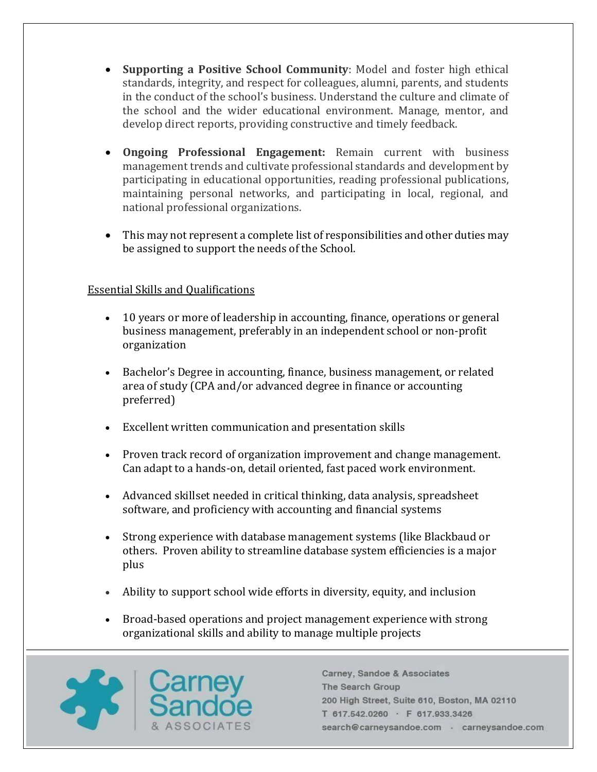- **Supporting a Positive School Community**: Model and foster high ethical standards, integrity, and respect for colleagues, alumni, parents, and students in the conduct of the school's business. Understand the culture and climate of the school and the wider educational environment. Manage, mentor, and develop direct reports, providing constructive and timely feedback.
- **Ongoing Professional Engagement:** Remain current with business management trends and cultivate professional standards and development by participating in educational opportunities, reading professional publications, maintaining personal networks, and participating in local, regional, and national professional organizations.
- This may not represent a complete list of responsibilities and other duties may be assigned to support the needs of the School.

## Essential Skills and Qualifications

- 10 years or more of leadership in accounting, finance, operations or general business management, preferably in an independent school or non-profit organization
- Bachelor's Degree in accounting, finance, business management, or related area of study (CPA and/or advanced degree in finance or accounting preferred)
- Excellent written communication and presentation skills
- Proven track record of organization improvement and change management. Can adapt to a hands-on, detail oriented, fast paced work environment.
- Advanced skillset needed in critical thinking, data analysis, spreadsheet software, and proficiency with accounting and financial systems
- Strong experience with database management systems (like Blackbaud or others. Proven ability to streamline database system efficiencies is a major plus
- Ability to support school wide efforts in diversity, equity, and inclusion
- Broad-based operations and project management experience with strong organizational skills and ability to manage multiple projects